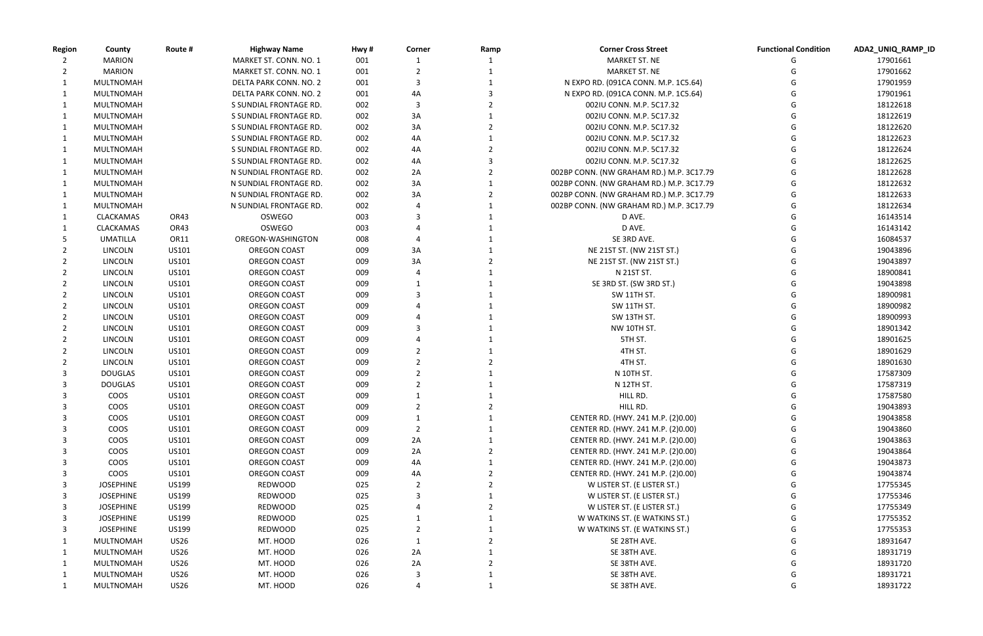| MARKET ST. CONN. NO. 1<br>MARKET ST. NE<br><b>MARION</b><br>001<br>17901661<br>17901662<br><b>MARION</b><br>MARKET ST. CONN. NO. 1<br>001<br>MARKET ST. NE<br>N EXPO RD. (091CA CONN. M.P. 1C5.64)<br>MULTNOMAH<br>DELTA PARK CONN. NO. 2<br>001<br>3<br>17901959<br>001<br>4A<br>17901961<br>MULTNOMAH<br>DELTA PARK CONN. NO. 2<br>N EXPO RD. (091CA CONN. M.P. 1C5.64)<br>002<br>18122618<br>MULTNOMAH<br>S SUNDIAL FRONTAGE RD.<br>002IU CONN. M.P. 5C17.32<br>002<br>3A<br>18122619<br>MULTNOMAH<br>S SUNDIAL FRONTAGE RD.<br>002IU CONN. M.P. 5C17.32<br>002<br>3A<br>18122620<br>MULTNOMAH<br>S SUNDIAL FRONTAGE RD.<br>002IU CONN. M.P. 5C17.32<br>4A<br>18122623<br>MULTNOMAH<br>S SUNDIAL FRONTAGE RD.<br>002<br>002IU CONN. M.P. 5C17.32<br>002<br>18122624<br>MULTNOMAH<br>S SUNDIAL FRONTAGE RD.<br>4A<br>002IU CONN. M.P. 5C17.32<br>S SUNDIAL FRONTAGE RD.<br>002<br>4A<br>002IU CONN. M.P. 5C17.32<br>18122625<br>MULTNOMAH<br>18122628<br>N SUNDIAL FRONTAGE RD.<br>002<br>2A<br>002BP CONN. (NW GRAHAM RD.) M.P. 3C17.79<br>MULTNOMAH<br>18122632<br>N SUNDIAL FRONTAGE RD.<br>002<br>3A<br>002BP CONN. (NW GRAHAM RD.) M.P. 3C17.79<br>MULTNOMAH<br>$\mathbf{1}$<br>002<br>3A<br>18122633<br>MULTNOMAH<br>N SUNDIAL FRONTAGE RD.<br>002BP CONN. (NW GRAHAM RD.) M.P. 3C17.79<br>002<br>002BP CONN. (NW GRAHAM RD.) M.P. 3C17.79<br>18122634<br>MULTNOMAH<br>N SUNDIAL FRONTAGE RD.<br>OR43<br>OSWEGO<br>003<br>D AVE.<br>16143514<br>CLACKAMAS<br><b>OSWEGO</b><br>OR43<br>003<br>D AVE.<br>16143142<br><b>CLACKAMAS</b><br>OREGON-WASHINGTON<br>008<br>SE 3RD AVE.<br>16084537<br>UMATILLA<br>OR11<br>LINCOLN<br>US101<br><b>OREGON COAST</b><br>3A<br>NE 21ST ST. (NW 21ST ST.)<br>19043896<br>009<br>LINCOLN<br>US101<br><b>OREGON COAST</b><br>009<br>3A<br>19043897<br>NE 21ST ST. (NW 21ST ST.)<br><b>OREGON COAST</b><br>009<br>N 21ST ST.<br>18900841<br>LINCOLN<br>US101<br>LINCOLN<br>US101<br><b>OREGON COAST</b><br>009<br>SE 3RD ST. (SW 3RD ST.)<br>19043898<br><b>LINCOLN</b><br>US101<br><b>OREGON COAST</b><br>009<br><b>SW 11TH ST.</b><br>18900981<br>US101<br><b>OREGON COAST</b><br>009<br>18900982<br>LINCOLN<br>SW 11TH ST.<br>US101<br>SW 13TH ST.<br>18900993<br>LINCOLN<br><b>OREGON COAST</b><br>009<br><b>LINCOLN</b><br>US101<br><b>OREGON COAST</b><br>009<br>NW 10TH ST.<br>18901342<br>5TH ST.<br><b>LINCOLN</b><br>US101<br><b>OREGON COAST</b><br>009<br>18901625<br>US101<br><b>OREGON COAST</b><br>009<br>4TH ST.<br>18901629<br>LINCOLN<br><b>LINCOLN</b><br>US101<br><b>OREGON COAST</b><br>009<br>4TH ST.<br>18901630<br>US101<br><b>OREGON COAST</b><br>009<br>N 10TH ST.<br>17587309<br><b>DOUGLAS</b><br>N 12TH ST.<br><b>DOUGLAS</b><br>US101<br><b>OREGON COAST</b><br>009<br>17587319<br>COOS<br>US101<br><b>OREGON COAST</b><br>009<br>HILL RD.<br>17587580<br>G<br>COOS<br>US101<br>HILL RD.<br><b>OREGON COAST</b><br>009<br>$\overline{2}$<br>19043893<br>2<br>G<br>COOS<br>US101<br><b>OREGON COAST</b><br>009<br>CENTER RD. (HWY. 241 M.P. (2)0.00)<br>19043858<br>G<br>COOS<br>US101<br><b>OREGON COAST</b><br>19043860<br>009<br>2<br>CENTER RD. (HWY. 241 M.P. (2)0.00)<br>G<br>COOS<br>US101<br><b>OREGON COAST</b><br>009<br>2A<br>CENTER RD. (HWY. 241 M.P. (2)0.00)<br>19043863<br>2A<br>COOS<br>US101<br>009<br>19043864<br><b>OREGON COAST</b><br>CENTER RD. (HWY. 241 M.P. (2)0.00)<br>COOS<br>4A<br>US101<br><b>OREGON COAST</b><br>009<br>CENTER RD. (HWY. 241 M.P. (2)0.00)<br>19043873<br>G<br>COOS<br>009<br>19043874<br>US101<br><b>OREGON COAST</b><br>4A<br>CENTER RD. (HWY. 241 M.P. (2)0.00)<br><b>JOSEPHINE</b><br><b>US199</b><br><b>REDWOOD</b><br>025<br>W LISTER ST. (E LISTER ST.)<br>17755345<br><b>JOSEPHINE</b><br><b>US199</b><br>REDWOOD<br>025<br>W LISTER ST. (E LISTER ST.)<br>17755346<br>3<br>G<br>025<br><b>JOSEPHINE</b><br><b>US199</b><br>REDWOOD<br>W LISTER ST. (E LISTER ST.)<br>17755349<br>3<br>025<br><b>JOSEPHINE</b><br><b>US199</b><br>REDWOOD<br>W WATKINS ST. (E WATKINS ST.)<br>17755352<br>3<br><b>JOSEPHINE</b><br><b>US199</b><br>REDWOOD<br>025<br>W WATKINS ST. (E WATKINS ST.)<br>17755353<br>3<br>2<br><b>US26</b><br>MT. HOOD<br>026<br>SE 28TH AVE.<br>18931647<br>MULTNOMAH<br>2A<br><b>US26</b><br>MT. HOOD<br>026<br>SE 38TH AVE.<br>18931719<br>MULTNOMAH<br>2A<br><b>US26</b><br>MT. HOOD<br>SE 38TH AVE.<br>18931720<br>MULTNOMAH<br>026<br><b>US26</b><br>MT. HOOD<br>026<br>SE 38TH AVE.<br>18931721<br>MULTNOMAH<br>G<br>026<br><b>US26</b><br>MT. HOOD<br>SE 38TH AVE.<br>18931722<br>MULTNOMAH<br>G | <b>Region</b> | County | Route # | <b>Highway Name</b> | Hwy# | Corner | Ramp | <b>Corner Cross Street</b> | <b>Functional Condition</b> | ADA2_UNIQ_RAMP_ID |
|---------------------------------------------------------------------------------------------------------------------------------------------------------------------------------------------------------------------------------------------------------------------------------------------------------------------------------------------------------------------------------------------------------------------------------------------------------------------------------------------------------------------------------------------------------------------------------------------------------------------------------------------------------------------------------------------------------------------------------------------------------------------------------------------------------------------------------------------------------------------------------------------------------------------------------------------------------------------------------------------------------------------------------------------------------------------------------------------------------------------------------------------------------------------------------------------------------------------------------------------------------------------------------------------------------------------------------------------------------------------------------------------------------------------------------------------------------------------------------------------------------------------------------------------------------------------------------------------------------------------------------------------------------------------------------------------------------------------------------------------------------------------------------------------------------------------------------------------------------------------------------------------------------------------------------------------------------------------------------------------------------------------------------------------------------------------------------------------------------------------------------------------------------------------------------------------------------------------------------------------------------------------------------------------------------------------------------------------------------------------------------------------------------------------------------------------------------------------------------------------------------------------------------------------------------------------------------------------------------------------------------------------------------------------------------------------------------------------------------------------------------------------------------------------------------------------------------------------------------------------------------------------------------------------------------------------------------------------------------------------------------------------------------------------------------------------------------------------------------------------------------------------------------------------------------------------------------------------------------------------------------------------------------------------------------------------------------------------------------------------------------------------------------------------------------------------------------------------------------------------------------------------------------------------------------------------------------------------------------------------------------------------------------------------------------------------------------------------------------------------------------------------------------------------------------------------------------------------------------------------------------------------------------------------------------------------------------------------------------------------------------------------------------------------------------------------------------------------------------------------------------------------------------------------------------------------------------------------------------------------------------------------------------------------------------------------------------------------------------------------------------------------------------------------------------------------------------------------------------------------------------------------------------------------------|---------------|--------|---------|---------------------|------|--------|------|----------------------------|-----------------------------|-------------------|
|                                                                                                                                                                                                                                                                                                                                                                                                                                                                                                                                                                                                                                                                                                                                                                                                                                                                                                                                                                                                                                                                                                                                                                                                                                                                                                                                                                                                                                                                                                                                                                                                                                                                                                                                                                                                                                                                                                                                                                                                                                                                                                                                                                                                                                                                                                                                                                                                                                                                                                                                                                                                                                                                                                                                                                                                                                                                                                                                                                                                                                                                                                                                                                                                                                                                                                                                                                                                                                                                                                                                                                                                                                                                                                                                                                                                                                                                                                                                                                                                                                                                                                                                                                                                                                                                                                                                                                                                                                                                                                                                                   |               |        |         |                     |      |        |      |                            |                             |                   |
|                                                                                                                                                                                                                                                                                                                                                                                                                                                                                                                                                                                                                                                                                                                                                                                                                                                                                                                                                                                                                                                                                                                                                                                                                                                                                                                                                                                                                                                                                                                                                                                                                                                                                                                                                                                                                                                                                                                                                                                                                                                                                                                                                                                                                                                                                                                                                                                                                                                                                                                                                                                                                                                                                                                                                                                                                                                                                                                                                                                                                                                                                                                                                                                                                                                                                                                                                                                                                                                                                                                                                                                                                                                                                                                                                                                                                                                                                                                                                                                                                                                                                                                                                                                                                                                                                                                                                                                                                                                                                                                                                   |               |        |         |                     |      |        |      |                            |                             |                   |
|                                                                                                                                                                                                                                                                                                                                                                                                                                                                                                                                                                                                                                                                                                                                                                                                                                                                                                                                                                                                                                                                                                                                                                                                                                                                                                                                                                                                                                                                                                                                                                                                                                                                                                                                                                                                                                                                                                                                                                                                                                                                                                                                                                                                                                                                                                                                                                                                                                                                                                                                                                                                                                                                                                                                                                                                                                                                                                                                                                                                                                                                                                                                                                                                                                                                                                                                                                                                                                                                                                                                                                                                                                                                                                                                                                                                                                                                                                                                                                                                                                                                                                                                                                                                                                                                                                                                                                                                                                                                                                                                                   |               |        |         |                     |      |        |      |                            |                             |                   |
|                                                                                                                                                                                                                                                                                                                                                                                                                                                                                                                                                                                                                                                                                                                                                                                                                                                                                                                                                                                                                                                                                                                                                                                                                                                                                                                                                                                                                                                                                                                                                                                                                                                                                                                                                                                                                                                                                                                                                                                                                                                                                                                                                                                                                                                                                                                                                                                                                                                                                                                                                                                                                                                                                                                                                                                                                                                                                                                                                                                                                                                                                                                                                                                                                                                                                                                                                                                                                                                                                                                                                                                                                                                                                                                                                                                                                                                                                                                                                                                                                                                                                                                                                                                                                                                                                                                                                                                                                                                                                                                                                   |               |        |         |                     |      |        |      |                            |                             |                   |
|                                                                                                                                                                                                                                                                                                                                                                                                                                                                                                                                                                                                                                                                                                                                                                                                                                                                                                                                                                                                                                                                                                                                                                                                                                                                                                                                                                                                                                                                                                                                                                                                                                                                                                                                                                                                                                                                                                                                                                                                                                                                                                                                                                                                                                                                                                                                                                                                                                                                                                                                                                                                                                                                                                                                                                                                                                                                                                                                                                                                                                                                                                                                                                                                                                                                                                                                                                                                                                                                                                                                                                                                                                                                                                                                                                                                                                                                                                                                                                                                                                                                                                                                                                                                                                                                                                                                                                                                                                                                                                                                                   |               |        |         |                     |      |        |      |                            |                             |                   |
|                                                                                                                                                                                                                                                                                                                                                                                                                                                                                                                                                                                                                                                                                                                                                                                                                                                                                                                                                                                                                                                                                                                                                                                                                                                                                                                                                                                                                                                                                                                                                                                                                                                                                                                                                                                                                                                                                                                                                                                                                                                                                                                                                                                                                                                                                                                                                                                                                                                                                                                                                                                                                                                                                                                                                                                                                                                                                                                                                                                                                                                                                                                                                                                                                                                                                                                                                                                                                                                                                                                                                                                                                                                                                                                                                                                                                                                                                                                                                                                                                                                                                                                                                                                                                                                                                                                                                                                                                                                                                                                                                   |               |        |         |                     |      |        |      |                            |                             |                   |
|                                                                                                                                                                                                                                                                                                                                                                                                                                                                                                                                                                                                                                                                                                                                                                                                                                                                                                                                                                                                                                                                                                                                                                                                                                                                                                                                                                                                                                                                                                                                                                                                                                                                                                                                                                                                                                                                                                                                                                                                                                                                                                                                                                                                                                                                                                                                                                                                                                                                                                                                                                                                                                                                                                                                                                                                                                                                                                                                                                                                                                                                                                                                                                                                                                                                                                                                                                                                                                                                                                                                                                                                                                                                                                                                                                                                                                                                                                                                                                                                                                                                                                                                                                                                                                                                                                                                                                                                                                                                                                                                                   |               |        |         |                     |      |        |      |                            |                             |                   |
|                                                                                                                                                                                                                                                                                                                                                                                                                                                                                                                                                                                                                                                                                                                                                                                                                                                                                                                                                                                                                                                                                                                                                                                                                                                                                                                                                                                                                                                                                                                                                                                                                                                                                                                                                                                                                                                                                                                                                                                                                                                                                                                                                                                                                                                                                                                                                                                                                                                                                                                                                                                                                                                                                                                                                                                                                                                                                                                                                                                                                                                                                                                                                                                                                                                                                                                                                                                                                                                                                                                                                                                                                                                                                                                                                                                                                                                                                                                                                                                                                                                                                                                                                                                                                                                                                                                                                                                                                                                                                                                                                   |               |        |         |                     |      |        |      |                            |                             |                   |
|                                                                                                                                                                                                                                                                                                                                                                                                                                                                                                                                                                                                                                                                                                                                                                                                                                                                                                                                                                                                                                                                                                                                                                                                                                                                                                                                                                                                                                                                                                                                                                                                                                                                                                                                                                                                                                                                                                                                                                                                                                                                                                                                                                                                                                                                                                                                                                                                                                                                                                                                                                                                                                                                                                                                                                                                                                                                                                                                                                                                                                                                                                                                                                                                                                                                                                                                                                                                                                                                                                                                                                                                                                                                                                                                                                                                                                                                                                                                                                                                                                                                                                                                                                                                                                                                                                                                                                                                                                                                                                                                                   |               |        |         |                     |      |        |      |                            |                             |                   |
|                                                                                                                                                                                                                                                                                                                                                                                                                                                                                                                                                                                                                                                                                                                                                                                                                                                                                                                                                                                                                                                                                                                                                                                                                                                                                                                                                                                                                                                                                                                                                                                                                                                                                                                                                                                                                                                                                                                                                                                                                                                                                                                                                                                                                                                                                                                                                                                                                                                                                                                                                                                                                                                                                                                                                                                                                                                                                                                                                                                                                                                                                                                                                                                                                                                                                                                                                                                                                                                                                                                                                                                                                                                                                                                                                                                                                                                                                                                                                                                                                                                                                                                                                                                                                                                                                                                                                                                                                                                                                                                                                   |               |        |         |                     |      |        |      |                            |                             |                   |
|                                                                                                                                                                                                                                                                                                                                                                                                                                                                                                                                                                                                                                                                                                                                                                                                                                                                                                                                                                                                                                                                                                                                                                                                                                                                                                                                                                                                                                                                                                                                                                                                                                                                                                                                                                                                                                                                                                                                                                                                                                                                                                                                                                                                                                                                                                                                                                                                                                                                                                                                                                                                                                                                                                                                                                                                                                                                                                                                                                                                                                                                                                                                                                                                                                                                                                                                                                                                                                                                                                                                                                                                                                                                                                                                                                                                                                                                                                                                                                                                                                                                                                                                                                                                                                                                                                                                                                                                                                                                                                                                                   |               |        |         |                     |      |        |      |                            |                             |                   |
|                                                                                                                                                                                                                                                                                                                                                                                                                                                                                                                                                                                                                                                                                                                                                                                                                                                                                                                                                                                                                                                                                                                                                                                                                                                                                                                                                                                                                                                                                                                                                                                                                                                                                                                                                                                                                                                                                                                                                                                                                                                                                                                                                                                                                                                                                                                                                                                                                                                                                                                                                                                                                                                                                                                                                                                                                                                                                                                                                                                                                                                                                                                                                                                                                                                                                                                                                                                                                                                                                                                                                                                                                                                                                                                                                                                                                                                                                                                                                                                                                                                                                                                                                                                                                                                                                                                                                                                                                                                                                                                                                   |               |        |         |                     |      |        |      |                            |                             |                   |
|                                                                                                                                                                                                                                                                                                                                                                                                                                                                                                                                                                                                                                                                                                                                                                                                                                                                                                                                                                                                                                                                                                                                                                                                                                                                                                                                                                                                                                                                                                                                                                                                                                                                                                                                                                                                                                                                                                                                                                                                                                                                                                                                                                                                                                                                                                                                                                                                                                                                                                                                                                                                                                                                                                                                                                                                                                                                                                                                                                                                                                                                                                                                                                                                                                                                                                                                                                                                                                                                                                                                                                                                                                                                                                                                                                                                                                                                                                                                                                                                                                                                                                                                                                                                                                                                                                                                                                                                                                                                                                                                                   |               |        |         |                     |      |        |      |                            |                             |                   |
|                                                                                                                                                                                                                                                                                                                                                                                                                                                                                                                                                                                                                                                                                                                                                                                                                                                                                                                                                                                                                                                                                                                                                                                                                                                                                                                                                                                                                                                                                                                                                                                                                                                                                                                                                                                                                                                                                                                                                                                                                                                                                                                                                                                                                                                                                                                                                                                                                                                                                                                                                                                                                                                                                                                                                                                                                                                                                                                                                                                                                                                                                                                                                                                                                                                                                                                                                                                                                                                                                                                                                                                                                                                                                                                                                                                                                                                                                                                                                                                                                                                                                                                                                                                                                                                                                                                                                                                                                                                                                                                                                   |               |        |         |                     |      |        |      |                            |                             |                   |
|                                                                                                                                                                                                                                                                                                                                                                                                                                                                                                                                                                                                                                                                                                                                                                                                                                                                                                                                                                                                                                                                                                                                                                                                                                                                                                                                                                                                                                                                                                                                                                                                                                                                                                                                                                                                                                                                                                                                                                                                                                                                                                                                                                                                                                                                                                                                                                                                                                                                                                                                                                                                                                                                                                                                                                                                                                                                                                                                                                                                                                                                                                                                                                                                                                                                                                                                                                                                                                                                                                                                                                                                                                                                                                                                                                                                                                                                                                                                                                                                                                                                                                                                                                                                                                                                                                                                                                                                                                                                                                                                                   |               |        |         |                     |      |        |      |                            |                             |                   |
|                                                                                                                                                                                                                                                                                                                                                                                                                                                                                                                                                                                                                                                                                                                                                                                                                                                                                                                                                                                                                                                                                                                                                                                                                                                                                                                                                                                                                                                                                                                                                                                                                                                                                                                                                                                                                                                                                                                                                                                                                                                                                                                                                                                                                                                                                                                                                                                                                                                                                                                                                                                                                                                                                                                                                                                                                                                                                                                                                                                                                                                                                                                                                                                                                                                                                                                                                                                                                                                                                                                                                                                                                                                                                                                                                                                                                                                                                                                                                                                                                                                                                                                                                                                                                                                                                                                                                                                                                                                                                                                                                   |               |        |         |                     |      |        |      |                            |                             |                   |
|                                                                                                                                                                                                                                                                                                                                                                                                                                                                                                                                                                                                                                                                                                                                                                                                                                                                                                                                                                                                                                                                                                                                                                                                                                                                                                                                                                                                                                                                                                                                                                                                                                                                                                                                                                                                                                                                                                                                                                                                                                                                                                                                                                                                                                                                                                                                                                                                                                                                                                                                                                                                                                                                                                                                                                                                                                                                                                                                                                                                                                                                                                                                                                                                                                                                                                                                                                                                                                                                                                                                                                                                                                                                                                                                                                                                                                                                                                                                                                                                                                                                                                                                                                                                                                                                                                                                                                                                                                                                                                                                                   |               |        |         |                     |      |        |      |                            |                             |                   |
|                                                                                                                                                                                                                                                                                                                                                                                                                                                                                                                                                                                                                                                                                                                                                                                                                                                                                                                                                                                                                                                                                                                                                                                                                                                                                                                                                                                                                                                                                                                                                                                                                                                                                                                                                                                                                                                                                                                                                                                                                                                                                                                                                                                                                                                                                                                                                                                                                                                                                                                                                                                                                                                                                                                                                                                                                                                                                                                                                                                                                                                                                                                                                                                                                                                                                                                                                                                                                                                                                                                                                                                                                                                                                                                                                                                                                                                                                                                                                                                                                                                                                                                                                                                                                                                                                                                                                                                                                                                                                                                                                   |               |        |         |                     |      |        |      |                            |                             |                   |
|                                                                                                                                                                                                                                                                                                                                                                                                                                                                                                                                                                                                                                                                                                                                                                                                                                                                                                                                                                                                                                                                                                                                                                                                                                                                                                                                                                                                                                                                                                                                                                                                                                                                                                                                                                                                                                                                                                                                                                                                                                                                                                                                                                                                                                                                                                                                                                                                                                                                                                                                                                                                                                                                                                                                                                                                                                                                                                                                                                                                                                                                                                                                                                                                                                                                                                                                                                                                                                                                                                                                                                                                                                                                                                                                                                                                                                                                                                                                                                                                                                                                                                                                                                                                                                                                                                                                                                                                                                                                                                                                                   |               |        |         |                     |      |        |      |                            |                             |                   |
|                                                                                                                                                                                                                                                                                                                                                                                                                                                                                                                                                                                                                                                                                                                                                                                                                                                                                                                                                                                                                                                                                                                                                                                                                                                                                                                                                                                                                                                                                                                                                                                                                                                                                                                                                                                                                                                                                                                                                                                                                                                                                                                                                                                                                                                                                                                                                                                                                                                                                                                                                                                                                                                                                                                                                                                                                                                                                                                                                                                                                                                                                                                                                                                                                                                                                                                                                                                                                                                                                                                                                                                                                                                                                                                                                                                                                                                                                                                                                                                                                                                                                                                                                                                                                                                                                                                                                                                                                                                                                                                                                   |               |        |         |                     |      |        |      |                            |                             |                   |
|                                                                                                                                                                                                                                                                                                                                                                                                                                                                                                                                                                                                                                                                                                                                                                                                                                                                                                                                                                                                                                                                                                                                                                                                                                                                                                                                                                                                                                                                                                                                                                                                                                                                                                                                                                                                                                                                                                                                                                                                                                                                                                                                                                                                                                                                                                                                                                                                                                                                                                                                                                                                                                                                                                                                                                                                                                                                                                                                                                                                                                                                                                                                                                                                                                                                                                                                                                                                                                                                                                                                                                                                                                                                                                                                                                                                                                                                                                                                                                                                                                                                                                                                                                                                                                                                                                                                                                                                                                                                                                                                                   |               |        |         |                     |      |        |      |                            |                             |                   |
|                                                                                                                                                                                                                                                                                                                                                                                                                                                                                                                                                                                                                                                                                                                                                                                                                                                                                                                                                                                                                                                                                                                                                                                                                                                                                                                                                                                                                                                                                                                                                                                                                                                                                                                                                                                                                                                                                                                                                                                                                                                                                                                                                                                                                                                                                                                                                                                                                                                                                                                                                                                                                                                                                                                                                                                                                                                                                                                                                                                                                                                                                                                                                                                                                                                                                                                                                                                                                                                                                                                                                                                                                                                                                                                                                                                                                                                                                                                                                                                                                                                                                                                                                                                                                                                                                                                                                                                                                                                                                                                                                   |               |        |         |                     |      |        |      |                            |                             |                   |
|                                                                                                                                                                                                                                                                                                                                                                                                                                                                                                                                                                                                                                                                                                                                                                                                                                                                                                                                                                                                                                                                                                                                                                                                                                                                                                                                                                                                                                                                                                                                                                                                                                                                                                                                                                                                                                                                                                                                                                                                                                                                                                                                                                                                                                                                                                                                                                                                                                                                                                                                                                                                                                                                                                                                                                                                                                                                                                                                                                                                                                                                                                                                                                                                                                                                                                                                                                                                                                                                                                                                                                                                                                                                                                                                                                                                                                                                                                                                                                                                                                                                                                                                                                                                                                                                                                                                                                                                                                                                                                                                                   |               |        |         |                     |      |        |      |                            |                             |                   |
|                                                                                                                                                                                                                                                                                                                                                                                                                                                                                                                                                                                                                                                                                                                                                                                                                                                                                                                                                                                                                                                                                                                                                                                                                                                                                                                                                                                                                                                                                                                                                                                                                                                                                                                                                                                                                                                                                                                                                                                                                                                                                                                                                                                                                                                                                                                                                                                                                                                                                                                                                                                                                                                                                                                                                                                                                                                                                                                                                                                                                                                                                                                                                                                                                                                                                                                                                                                                                                                                                                                                                                                                                                                                                                                                                                                                                                                                                                                                                                                                                                                                                                                                                                                                                                                                                                                                                                                                                                                                                                                                                   |               |        |         |                     |      |        |      |                            |                             |                   |
|                                                                                                                                                                                                                                                                                                                                                                                                                                                                                                                                                                                                                                                                                                                                                                                                                                                                                                                                                                                                                                                                                                                                                                                                                                                                                                                                                                                                                                                                                                                                                                                                                                                                                                                                                                                                                                                                                                                                                                                                                                                                                                                                                                                                                                                                                                                                                                                                                                                                                                                                                                                                                                                                                                                                                                                                                                                                                                                                                                                                                                                                                                                                                                                                                                                                                                                                                                                                                                                                                                                                                                                                                                                                                                                                                                                                                                                                                                                                                                                                                                                                                                                                                                                                                                                                                                                                                                                                                                                                                                                                                   |               |        |         |                     |      |        |      |                            |                             |                   |
|                                                                                                                                                                                                                                                                                                                                                                                                                                                                                                                                                                                                                                                                                                                                                                                                                                                                                                                                                                                                                                                                                                                                                                                                                                                                                                                                                                                                                                                                                                                                                                                                                                                                                                                                                                                                                                                                                                                                                                                                                                                                                                                                                                                                                                                                                                                                                                                                                                                                                                                                                                                                                                                                                                                                                                                                                                                                                                                                                                                                                                                                                                                                                                                                                                                                                                                                                                                                                                                                                                                                                                                                                                                                                                                                                                                                                                                                                                                                                                                                                                                                                                                                                                                                                                                                                                                                                                                                                                                                                                                                                   |               |        |         |                     |      |        |      |                            |                             |                   |
|                                                                                                                                                                                                                                                                                                                                                                                                                                                                                                                                                                                                                                                                                                                                                                                                                                                                                                                                                                                                                                                                                                                                                                                                                                                                                                                                                                                                                                                                                                                                                                                                                                                                                                                                                                                                                                                                                                                                                                                                                                                                                                                                                                                                                                                                                                                                                                                                                                                                                                                                                                                                                                                                                                                                                                                                                                                                                                                                                                                                                                                                                                                                                                                                                                                                                                                                                                                                                                                                                                                                                                                                                                                                                                                                                                                                                                                                                                                                                                                                                                                                                                                                                                                                                                                                                                                                                                                                                                                                                                                                                   |               |        |         |                     |      |        |      |                            |                             |                   |
|                                                                                                                                                                                                                                                                                                                                                                                                                                                                                                                                                                                                                                                                                                                                                                                                                                                                                                                                                                                                                                                                                                                                                                                                                                                                                                                                                                                                                                                                                                                                                                                                                                                                                                                                                                                                                                                                                                                                                                                                                                                                                                                                                                                                                                                                                                                                                                                                                                                                                                                                                                                                                                                                                                                                                                                                                                                                                                                                                                                                                                                                                                                                                                                                                                                                                                                                                                                                                                                                                                                                                                                                                                                                                                                                                                                                                                                                                                                                                                                                                                                                                                                                                                                                                                                                                                                                                                                                                                                                                                                                                   |               |        |         |                     |      |        |      |                            |                             |                   |
|                                                                                                                                                                                                                                                                                                                                                                                                                                                                                                                                                                                                                                                                                                                                                                                                                                                                                                                                                                                                                                                                                                                                                                                                                                                                                                                                                                                                                                                                                                                                                                                                                                                                                                                                                                                                                                                                                                                                                                                                                                                                                                                                                                                                                                                                                                                                                                                                                                                                                                                                                                                                                                                                                                                                                                                                                                                                                                                                                                                                                                                                                                                                                                                                                                                                                                                                                                                                                                                                                                                                                                                                                                                                                                                                                                                                                                                                                                                                                                                                                                                                                                                                                                                                                                                                                                                                                                                                                                                                                                                                                   |               |        |         |                     |      |        |      |                            |                             |                   |
|                                                                                                                                                                                                                                                                                                                                                                                                                                                                                                                                                                                                                                                                                                                                                                                                                                                                                                                                                                                                                                                                                                                                                                                                                                                                                                                                                                                                                                                                                                                                                                                                                                                                                                                                                                                                                                                                                                                                                                                                                                                                                                                                                                                                                                                                                                                                                                                                                                                                                                                                                                                                                                                                                                                                                                                                                                                                                                                                                                                                                                                                                                                                                                                                                                                                                                                                                                                                                                                                                                                                                                                                                                                                                                                                                                                                                                                                                                                                                                                                                                                                                                                                                                                                                                                                                                                                                                                                                                                                                                                                                   |               |        |         |                     |      |        |      |                            |                             |                   |
|                                                                                                                                                                                                                                                                                                                                                                                                                                                                                                                                                                                                                                                                                                                                                                                                                                                                                                                                                                                                                                                                                                                                                                                                                                                                                                                                                                                                                                                                                                                                                                                                                                                                                                                                                                                                                                                                                                                                                                                                                                                                                                                                                                                                                                                                                                                                                                                                                                                                                                                                                                                                                                                                                                                                                                                                                                                                                                                                                                                                                                                                                                                                                                                                                                                                                                                                                                                                                                                                                                                                                                                                                                                                                                                                                                                                                                                                                                                                                                                                                                                                                                                                                                                                                                                                                                                                                                                                                                                                                                                                                   |               |        |         |                     |      |        |      |                            |                             |                   |
|                                                                                                                                                                                                                                                                                                                                                                                                                                                                                                                                                                                                                                                                                                                                                                                                                                                                                                                                                                                                                                                                                                                                                                                                                                                                                                                                                                                                                                                                                                                                                                                                                                                                                                                                                                                                                                                                                                                                                                                                                                                                                                                                                                                                                                                                                                                                                                                                                                                                                                                                                                                                                                                                                                                                                                                                                                                                                                                                                                                                                                                                                                                                                                                                                                                                                                                                                                                                                                                                                                                                                                                                                                                                                                                                                                                                                                                                                                                                                                                                                                                                                                                                                                                                                                                                                                                                                                                                                                                                                                                                                   |               |        |         |                     |      |        |      |                            |                             |                   |
|                                                                                                                                                                                                                                                                                                                                                                                                                                                                                                                                                                                                                                                                                                                                                                                                                                                                                                                                                                                                                                                                                                                                                                                                                                                                                                                                                                                                                                                                                                                                                                                                                                                                                                                                                                                                                                                                                                                                                                                                                                                                                                                                                                                                                                                                                                                                                                                                                                                                                                                                                                                                                                                                                                                                                                                                                                                                                                                                                                                                                                                                                                                                                                                                                                                                                                                                                                                                                                                                                                                                                                                                                                                                                                                                                                                                                                                                                                                                                                                                                                                                                                                                                                                                                                                                                                                                                                                                                                                                                                                                                   |               |        |         |                     |      |        |      |                            |                             |                   |
|                                                                                                                                                                                                                                                                                                                                                                                                                                                                                                                                                                                                                                                                                                                                                                                                                                                                                                                                                                                                                                                                                                                                                                                                                                                                                                                                                                                                                                                                                                                                                                                                                                                                                                                                                                                                                                                                                                                                                                                                                                                                                                                                                                                                                                                                                                                                                                                                                                                                                                                                                                                                                                                                                                                                                                                                                                                                                                                                                                                                                                                                                                                                                                                                                                                                                                                                                                                                                                                                                                                                                                                                                                                                                                                                                                                                                                                                                                                                                                                                                                                                                                                                                                                                                                                                                                                                                                                                                                                                                                                                                   |               |        |         |                     |      |        |      |                            |                             |                   |
|                                                                                                                                                                                                                                                                                                                                                                                                                                                                                                                                                                                                                                                                                                                                                                                                                                                                                                                                                                                                                                                                                                                                                                                                                                                                                                                                                                                                                                                                                                                                                                                                                                                                                                                                                                                                                                                                                                                                                                                                                                                                                                                                                                                                                                                                                                                                                                                                                                                                                                                                                                                                                                                                                                                                                                                                                                                                                                                                                                                                                                                                                                                                                                                                                                                                                                                                                                                                                                                                                                                                                                                                                                                                                                                                                                                                                                                                                                                                                                                                                                                                                                                                                                                                                                                                                                                                                                                                                                                                                                                                                   |               |        |         |                     |      |        |      |                            |                             |                   |
|                                                                                                                                                                                                                                                                                                                                                                                                                                                                                                                                                                                                                                                                                                                                                                                                                                                                                                                                                                                                                                                                                                                                                                                                                                                                                                                                                                                                                                                                                                                                                                                                                                                                                                                                                                                                                                                                                                                                                                                                                                                                                                                                                                                                                                                                                                                                                                                                                                                                                                                                                                                                                                                                                                                                                                                                                                                                                                                                                                                                                                                                                                                                                                                                                                                                                                                                                                                                                                                                                                                                                                                                                                                                                                                                                                                                                                                                                                                                                                                                                                                                                                                                                                                                                                                                                                                                                                                                                                                                                                                                                   |               |        |         |                     |      |        |      |                            |                             |                   |
|                                                                                                                                                                                                                                                                                                                                                                                                                                                                                                                                                                                                                                                                                                                                                                                                                                                                                                                                                                                                                                                                                                                                                                                                                                                                                                                                                                                                                                                                                                                                                                                                                                                                                                                                                                                                                                                                                                                                                                                                                                                                                                                                                                                                                                                                                                                                                                                                                                                                                                                                                                                                                                                                                                                                                                                                                                                                                                                                                                                                                                                                                                                                                                                                                                                                                                                                                                                                                                                                                                                                                                                                                                                                                                                                                                                                                                                                                                                                                                                                                                                                                                                                                                                                                                                                                                                                                                                                                                                                                                                                                   |               |        |         |                     |      |        |      |                            |                             |                   |
|                                                                                                                                                                                                                                                                                                                                                                                                                                                                                                                                                                                                                                                                                                                                                                                                                                                                                                                                                                                                                                                                                                                                                                                                                                                                                                                                                                                                                                                                                                                                                                                                                                                                                                                                                                                                                                                                                                                                                                                                                                                                                                                                                                                                                                                                                                                                                                                                                                                                                                                                                                                                                                                                                                                                                                                                                                                                                                                                                                                                                                                                                                                                                                                                                                                                                                                                                                                                                                                                                                                                                                                                                                                                                                                                                                                                                                                                                                                                                                                                                                                                                                                                                                                                                                                                                                                                                                                                                                                                                                                                                   |               |        |         |                     |      |        |      |                            |                             |                   |
|                                                                                                                                                                                                                                                                                                                                                                                                                                                                                                                                                                                                                                                                                                                                                                                                                                                                                                                                                                                                                                                                                                                                                                                                                                                                                                                                                                                                                                                                                                                                                                                                                                                                                                                                                                                                                                                                                                                                                                                                                                                                                                                                                                                                                                                                                                                                                                                                                                                                                                                                                                                                                                                                                                                                                                                                                                                                                                                                                                                                                                                                                                                                                                                                                                                                                                                                                                                                                                                                                                                                                                                                                                                                                                                                                                                                                                                                                                                                                                                                                                                                                                                                                                                                                                                                                                                                                                                                                                                                                                                                                   |               |        |         |                     |      |        |      |                            |                             |                   |
|                                                                                                                                                                                                                                                                                                                                                                                                                                                                                                                                                                                                                                                                                                                                                                                                                                                                                                                                                                                                                                                                                                                                                                                                                                                                                                                                                                                                                                                                                                                                                                                                                                                                                                                                                                                                                                                                                                                                                                                                                                                                                                                                                                                                                                                                                                                                                                                                                                                                                                                                                                                                                                                                                                                                                                                                                                                                                                                                                                                                                                                                                                                                                                                                                                                                                                                                                                                                                                                                                                                                                                                                                                                                                                                                                                                                                                                                                                                                                                                                                                                                                                                                                                                                                                                                                                                                                                                                                                                                                                                                                   |               |        |         |                     |      |        |      |                            |                             |                   |
|                                                                                                                                                                                                                                                                                                                                                                                                                                                                                                                                                                                                                                                                                                                                                                                                                                                                                                                                                                                                                                                                                                                                                                                                                                                                                                                                                                                                                                                                                                                                                                                                                                                                                                                                                                                                                                                                                                                                                                                                                                                                                                                                                                                                                                                                                                                                                                                                                                                                                                                                                                                                                                                                                                                                                                                                                                                                                                                                                                                                                                                                                                                                                                                                                                                                                                                                                                                                                                                                                                                                                                                                                                                                                                                                                                                                                                                                                                                                                                                                                                                                                                                                                                                                                                                                                                                                                                                                                                                                                                                                                   |               |        |         |                     |      |        |      |                            |                             |                   |
|                                                                                                                                                                                                                                                                                                                                                                                                                                                                                                                                                                                                                                                                                                                                                                                                                                                                                                                                                                                                                                                                                                                                                                                                                                                                                                                                                                                                                                                                                                                                                                                                                                                                                                                                                                                                                                                                                                                                                                                                                                                                                                                                                                                                                                                                                                                                                                                                                                                                                                                                                                                                                                                                                                                                                                                                                                                                                                                                                                                                                                                                                                                                                                                                                                                                                                                                                                                                                                                                                                                                                                                                                                                                                                                                                                                                                                                                                                                                                                                                                                                                                                                                                                                                                                                                                                                                                                                                                                                                                                                                                   |               |        |         |                     |      |        |      |                            |                             |                   |
|                                                                                                                                                                                                                                                                                                                                                                                                                                                                                                                                                                                                                                                                                                                                                                                                                                                                                                                                                                                                                                                                                                                                                                                                                                                                                                                                                                                                                                                                                                                                                                                                                                                                                                                                                                                                                                                                                                                                                                                                                                                                                                                                                                                                                                                                                                                                                                                                                                                                                                                                                                                                                                                                                                                                                                                                                                                                                                                                                                                                                                                                                                                                                                                                                                                                                                                                                                                                                                                                                                                                                                                                                                                                                                                                                                                                                                                                                                                                                                                                                                                                                                                                                                                                                                                                                                                                                                                                                                                                                                                                                   |               |        |         |                     |      |        |      |                            |                             |                   |
|                                                                                                                                                                                                                                                                                                                                                                                                                                                                                                                                                                                                                                                                                                                                                                                                                                                                                                                                                                                                                                                                                                                                                                                                                                                                                                                                                                                                                                                                                                                                                                                                                                                                                                                                                                                                                                                                                                                                                                                                                                                                                                                                                                                                                                                                                                                                                                                                                                                                                                                                                                                                                                                                                                                                                                                                                                                                                                                                                                                                                                                                                                                                                                                                                                                                                                                                                                                                                                                                                                                                                                                                                                                                                                                                                                                                                                                                                                                                                                                                                                                                                                                                                                                                                                                                                                                                                                                                                                                                                                                                                   |               |        |         |                     |      |        |      |                            |                             |                   |
|                                                                                                                                                                                                                                                                                                                                                                                                                                                                                                                                                                                                                                                                                                                                                                                                                                                                                                                                                                                                                                                                                                                                                                                                                                                                                                                                                                                                                                                                                                                                                                                                                                                                                                                                                                                                                                                                                                                                                                                                                                                                                                                                                                                                                                                                                                                                                                                                                                                                                                                                                                                                                                                                                                                                                                                                                                                                                                                                                                                                                                                                                                                                                                                                                                                                                                                                                                                                                                                                                                                                                                                                                                                                                                                                                                                                                                                                                                                                                                                                                                                                                                                                                                                                                                                                                                                                                                                                                                                                                                                                                   |               |        |         |                     |      |        |      |                            |                             |                   |
|                                                                                                                                                                                                                                                                                                                                                                                                                                                                                                                                                                                                                                                                                                                                                                                                                                                                                                                                                                                                                                                                                                                                                                                                                                                                                                                                                                                                                                                                                                                                                                                                                                                                                                                                                                                                                                                                                                                                                                                                                                                                                                                                                                                                                                                                                                                                                                                                                                                                                                                                                                                                                                                                                                                                                                                                                                                                                                                                                                                                                                                                                                                                                                                                                                                                                                                                                                                                                                                                                                                                                                                                                                                                                                                                                                                                                                                                                                                                                                                                                                                                                                                                                                                                                                                                                                                                                                                                                                                                                                                                                   |               |        |         |                     |      |        |      |                            |                             |                   |
|                                                                                                                                                                                                                                                                                                                                                                                                                                                                                                                                                                                                                                                                                                                                                                                                                                                                                                                                                                                                                                                                                                                                                                                                                                                                                                                                                                                                                                                                                                                                                                                                                                                                                                                                                                                                                                                                                                                                                                                                                                                                                                                                                                                                                                                                                                                                                                                                                                                                                                                                                                                                                                                                                                                                                                                                                                                                                                                                                                                                                                                                                                                                                                                                                                                                                                                                                                                                                                                                                                                                                                                                                                                                                                                                                                                                                                                                                                                                                                                                                                                                                                                                                                                                                                                                                                                                                                                                                                                                                                                                                   |               |        |         |                     |      |        |      |                            |                             |                   |
|                                                                                                                                                                                                                                                                                                                                                                                                                                                                                                                                                                                                                                                                                                                                                                                                                                                                                                                                                                                                                                                                                                                                                                                                                                                                                                                                                                                                                                                                                                                                                                                                                                                                                                                                                                                                                                                                                                                                                                                                                                                                                                                                                                                                                                                                                                                                                                                                                                                                                                                                                                                                                                                                                                                                                                                                                                                                                                                                                                                                                                                                                                                                                                                                                                                                                                                                                                                                                                                                                                                                                                                                                                                                                                                                                                                                                                                                                                                                                                                                                                                                                                                                                                                                                                                                                                                                                                                                                                                                                                                                                   |               |        |         |                     |      |        |      |                            |                             |                   |

| <b>Inctional Condition</b> | ADA2_UNIQ_RAMP_ID |
|----------------------------|-------------------|
| G                          | 17901661          |
| G                          | 17901662          |
| G                          | 17901959          |
| G                          | 17901961          |
| G                          | 18122618          |
| G                          | 18122619          |
| G                          | 18122620          |
| G                          | 18122623          |
| G                          | 18122624          |
| G                          | 18122625          |
| G                          | 18122628          |
| G                          | 18122632          |
| G                          | 18122633          |
| G                          | 18122634          |
| G                          | 16143514          |
| G                          | 16143142          |
| G                          | 16084537          |
| G                          | 19043896          |
| G                          | 19043897          |
| G                          | 18900841          |
| G                          | 19043898          |
| G                          | 18900981          |
| G                          | 18900982          |
| G                          | 18900993          |
| G                          | 18901342          |
| G                          | 18901625          |
| G                          | 18901629          |
| G                          | 18901630          |
| G                          | 17587309          |
| G                          | 17587319          |
| G                          | 17587580          |
| G                          | 19043893          |
| G                          | 19043858          |
| G                          | 19043860          |
| G                          | 19043863          |
| G                          | 19043864          |
| G                          | 19043873          |
| G                          | 19043874          |
| G                          | 17755345          |
| G                          | 17755346          |
| G                          | 17755349          |
| G                          | 17755352          |
| G                          | 17755353          |
| G                          | 18931647          |
| G                          | 18931719          |
| G                          | 18931720          |
| G                          | 18931721          |
| G                          | 18931722          |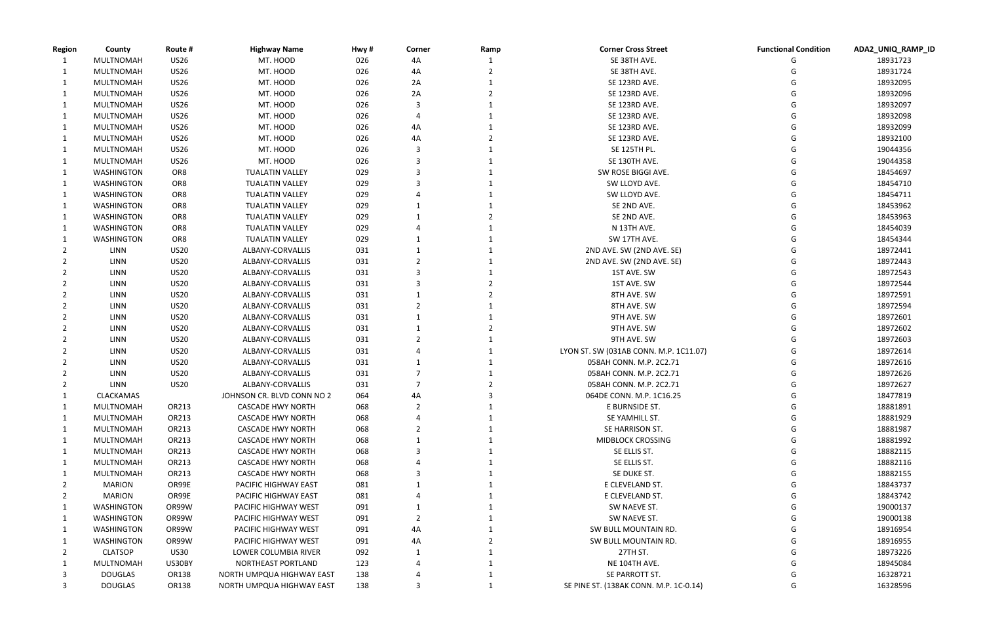| <b>Region</b> | County            | Route #     | <b>Highway Name</b>         | Hwy# | Corner | Ramp | <b>Corner Cross Street</b>             | <b>Functional Condition</b> | ADA2_UNIQ_RAMP_ID |
|---------------|-------------------|-------------|-----------------------------|------|--------|------|----------------------------------------|-----------------------------|-------------------|
|               | MULTNOMAH         | <b>US26</b> | MT. HOOD                    | 026  | 4A     |      | SE 38TH AVE.                           |                             | 18931723          |
| 1             | MULTNOMAH         | <b>US26</b> | MT. HOOD                    | 026  | 4A     |      | SE 38TH AVE.                           |                             | 18931724          |
| 1             | MULTNOMAH         | <b>US26</b> | MT. HOOD                    | 026  | 2A     |      | SE 123RD AVE.                          |                             | 18932095          |
| 1             | MULTNOMAH         | <b>US26</b> | MT. HOOD                    | 026  | 2A     |      | SE 123RD AVE.                          |                             | 18932096          |
| 1             | MULTNOMAH         | <b>US26</b> | MT. HOOD                    | 026  |        |      | SE 123RD AVE.                          |                             | 18932097          |
|               | MULTNOMAH         | <b>US26</b> | MT. HOOD                    | 026  |        |      | SE 123RD AVE.                          |                             | 18932098          |
|               | MULTNOMAH         | <b>US26</b> | MT. HOOD                    | 026  | 4A     |      | SE 123RD AVE.                          |                             | 18932099          |
| 1             | MULTNOMAH         | <b>US26</b> | MT. HOOD                    | 026  | 4A     |      | SE 123RD AVE.                          |                             | 18932100          |
|               | MULTNOMAH         | <b>US26</b> | MT. HOOD                    | 026  |        |      | <b>SE 125TH PL.</b>                    |                             | 19044356          |
|               | MULTNOMAH         | <b>US26</b> | MT. HOOD                    | 026  |        |      | SE 130TH AVE.                          |                             | 19044358          |
|               | WASHINGTON        | OR8         | <b>TUALATIN VALLEY</b>      | 029  |        |      | SW ROSE BIGGI AVE.                     |                             | 18454697          |
|               | <b>WASHINGTON</b> | OR8         | <b>TUALATIN VALLEY</b>      | 029  |        |      | SW LLOYD AVE.                          |                             | 18454710          |
|               | <b>WASHINGTON</b> | OR8         | <b>TUALATIN VALLEY</b>      | 029  |        |      | SW LLOYD AVE.                          |                             | 18454711          |
|               | WASHINGTON        | OR8         | <b>TUALATIN VALLEY</b>      | 029  |        |      | SE 2ND AVE.                            |                             | 18453962          |
|               | <b>WASHINGTON</b> | OR8         | <b>TUALATIN VALLEY</b>      | 029  |        |      | SE 2ND AVE.                            |                             | 18453963          |
|               | WASHINGTON        | OR8         | <b>TUALATIN VALLEY</b>      | 029  |        |      | N 13TH AVE.                            |                             | 18454039          |
|               | WASHINGTON        | OR8         | <b>TUALATIN VALLEY</b>      | 029  |        |      | SW 17TH AVE.                           |                             | 18454344          |
|               | LINN              | <b>US20</b> | ALBANY-CORVALLIS            | 031  |        |      | 2ND AVE. SW (2ND AVE. SE)              |                             | 18972441          |
|               | LINN              | <b>US20</b> | ALBANY-CORVALLIS            | 031  |        |      | 2ND AVE. SW (2ND AVE. SE)              |                             | 18972443          |
|               | LINN              | <b>US20</b> | ALBANY-CORVALLIS            | 031  |        |      | 1ST AVE. SW                            |                             | 18972543          |
|               | LINN              | <b>US20</b> | ALBANY-CORVALLIS            | 031  |        |      | 1ST AVE. SW                            |                             | 18972544          |
|               | LINN              | <b>US20</b> | ALBANY-CORVALLIS            | 031  |        |      | 8TH AVE. SW                            |                             | 18972591          |
|               | LINN              | <b>US20</b> | ALBANY-CORVALLIS            | 031  |        |      | 8TH AVE. SW                            |                             | 18972594          |
|               | LINN              | <b>US20</b> | ALBANY-CORVALLIS            | 031  |        |      | 9TH AVE. SW                            |                             | 18972601          |
|               | LINN              | <b>US20</b> | ALBANY-CORVALLIS            | 031  |        |      | 9TH AVE. SW                            |                             | 18972602          |
|               | LINN              | <b>US20</b> | ALBANY-CORVALLIS            | 031  |        |      | 9TH AVE. SW                            |                             | 18972603          |
|               | LINN              | <b>US20</b> | ALBANY-CORVALLIS            | 031  |        |      | LYON ST. SW (031AB CONN. M.P. 1C11.07) |                             | 18972614          |
|               | LINN              | <b>US20</b> | ALBANY-CORVALLIS            | 031  |        |      | 058AH CONN. M.P. 2C2.71                |                             | 18972616          |
|               | LINN              | <b>US20</b> | ALBANY-CORVALLIS            | 031  |        |      | 058AH CONN. M.P. 2C2.71                |                             | 18972626          |
|               | LINN              | <b>US20</b> | ALBANY-CORVALLIS            | 031  |        |      | 058AH CONN. M.P. 2C2.71                |                             | 18972627          |
|               | CLACKAMAS         |             | JOHNSON CR. BLVD CONN NO 2  | 064  | 4A     | 3    | 064DE CONN. M.P. 1C16.25               |                             | 18477819          |
|               | MULTNOMAH         | OR213       | <b>CASCADE HWY NORTH</b>    | 068  | 2      |      | E BURNSIDE ST.                         | G                           | 18881891          |
|               | MULTNOMAH         | OR213       | <b>CASCADE HWY NORTH</b>    | 068  |        |      | SE YAMHILL ST.                         |                             | 18881929          |
|               | MULTNOMAH         | OR213       | <b>CASCADE HWY NORTH</b>    | 068  |        |      | SE HARRISON ST.                        | G                           | 18881987          |
| 1             | MULTNOMAH         | OR213       | <b>CASCADE HWY NORTH</b>    | 068  |        |      | MIDBLOCK CROSSING                      |                             | 18881992          |
| $\mathbf{1}$  | MULTNOMAH         | OR213       | <b>CASCADE HWY NORTH</b>    | 068  |        |      | SE ELLIS ST.                           |                             | 18882115          |
| 1             | MULTNOMAH         | OR213       | <b>CASCADE HWY NORTH</b>    | 068  |        |      | SE ELLIS ST.                           |                             | 18882116          |
|               | MULTNOMAH         | OR213       | <b>CASCADE HWY NORTH</b>    | 068  |        |      | SE DUKE ST.                            |                             | 18882155          |
|               | MARION            | OR99E       | PACIFIC HIGHWAY EAST        | 081  |        |      | E CLEVELAND ST.                        |                             | 18843737          |
| 2             | MARION            | OR99E       | PACIFIC HIGHWAY EAST        | 081  |        |      | E CLEVELAND ST.                        |                             | 18843742          |
| 1             | <b>WASHINGTON</b> | OR99W       | PACIFIC HIGHWAY WEST        | 091  |        |      | SW NAEVE ST.                           |                             | 19000137          |
|               | <b>WASHINGTON</b> | OR99W       | <b>PACIFIC HIGHWAY WEST</b> | 091  |        |      | SW NAEVE ST.                           |                             | 19000138          |
|               | <b>WASHINGTON</b> | OR99W       | PACIFIC HIGHWAY WEST        | 091  | 4A     |      | SW BULL MOUNTAIN RD.                   |                             | 18916954          |
|               | WASHINGTON        | OR99W       | PACIFIC HIGHWAY WEST        | 091  | 4A     |      | SW BULL MOUNTAIN RD.                   |                             | 18916955          |
|               | <b>CLATSOP</b>    | <b>US30</b> | LOWER COLUMBIA RIVER        | 092  |        |      | 27TH ST.                               |                             | 18973226          |
|               | MULTNOMAH         | US30BY      | NORTHEAST PORTLAND          | 123  |        |      | NE 104TH AVE.                          |                             | 18945084          |
|               | <b>DOUGLAS</b>    | OR138       | NORTH UMPQUA HIGHWAY EAST   | 138  |        |      | SE PARROTT ST.                         |                             | 16328721          |
| 3             | <b>DOUGLAS</b>    | OR138       | NORTH UMPQUA HIGHWAY EAST   | 138  |        |      | SE PINE ST. (138AK CONN. M.P. 1C-0.14) | G                           | 16328596          |

| unctional Condition | ADA2_UNIQ_RAMP_ID    |
|---------------------|----------------------|
| G                   | 18931723             |
| G                   | 18931724             |
| G                   | 18932095             |
| G                   | 18932096             |
| G                   | 18932097             |
| G                   | 18932098             |
| G                   | 18932099             |
| G                   | 18932100             |
| G                   | 19044356             |
| G                   | 19044358             |
| G                   | 18454697             |
| G                   | 18454710             |
| G                   | 18454711             |
| G                   | 18453962             |
| G                   | 18453963             |
| G                   | 18454039             |
| G                   | 18454344             |
| G                   | 18972441             |
| G                   | 18972443             |
| G                   | 18972543             |
| G                   | 18972544             |
| G                   | 18972591             |
| G                   | 18972594             |
| G                   | 18972601             |
| G                   | 18972602             |
| G                   | 18972603             |
| G                   | 18972614             |
| G                   | 18972616             |
| G                   | 18972626             |
| G                   | 18972627             |
| G                   | 18477819             |
| G                   | 18881891             |
| G<br>G              | 18881929<br>18881987 |
| G                   | 18881992             |
| G                   | 18882115             |
| G                   | 18882116             |
| G                   | 18882155             |
| G                   | 18843737             |
| G                   | 18843742             |
| G                   | 19000137             |
| G                   | 19000138             |
| G                   | 18916954             |
| G                   | 18916955             |
| G                   | 18973226             |
| G                   | 18945084             |
| G                   | 16328721             |
| G                   | 16328596             |